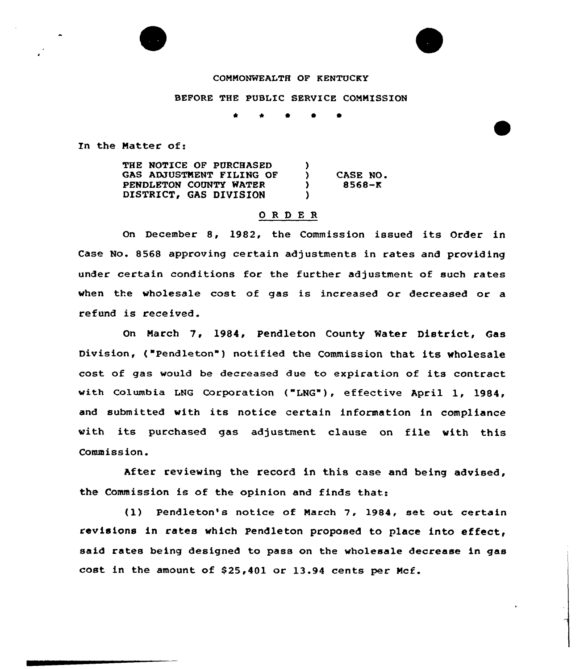#### COMMONWEALTH OF KENTUCKY

#### BEFORE THE PUBLIC SERVICE COMMISSION

0 0

In the Natter of:

THE NOTICE OF PURCHASED GAS ADJUSTMENT FILING OF PENDLETON COUNTY WATER DISTRICT, GAS DIVISION  $\left\{ \right.$ ) CASE NO.<br>
9568-K ) 8568-K  $\lambda$ 

### ORDER

On December 8, 1982, the Commission issued its Order in Case No. 8568 approving certain adjustments in rates and providing under certain conditions for the further adjustment of such rates when the wholesale cost of gas is increased or decreased or a refund is received.

On March 7, 1984, Pendleton County Water District, Gas Division, ("Pendleton") notified the Commission that its wholesale cost of gas woold be decreased due to expiration of its contract with Columbia LNG Corporation ("LNG"), effective April 1, 1984, and submitted with its notice certain information in compliance with its purchased gas adjustment clause on file with this Commission.

After reviewing the record in this case and being advised, the Commission is of the opinion and finds that:

(1) Pendleton's notice of Narch 7, 1984, set out certain revisions in rates which Pendleton proposed to place into effect, said rates being designed to pass on the wholesale decrease in gas cost in the amount of  $$25,401$  or  $13.94$  cents per Mcf.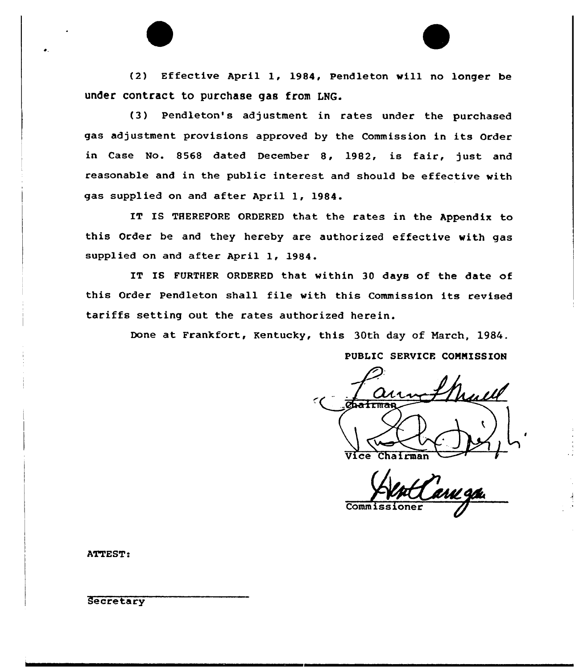(2) Effective April 1, 1984, Pendleton will no longer be under contract to purchase gas from LNG.

(3) Pendleton's adjustment in rates under the purchased gas adjustment provisions approved by the Commission in its Order in Case No. 8568 dated December 8, 1982, is fair, just and reasonable and in the public interest and should be effective with gas supplied on and after April 1, 1984.

IT IS THEREFORE ORDERED that the rates in the Appendix to this Order be and they hereby are authorized effective with gas supplied on and after April 1, 1984.

IT IS FURTHER ORDERED that within 30 days of the date of this Order Pendleton shall file with this Commission its revised tariffs setting out the rates authorized herein.

Done at Frankfort, Kentucky, this 30th day of March, 1984. PUBLIC SERVICE COMMISSION

Chairman

**Commiss** 

ATTEST:

**Secretary**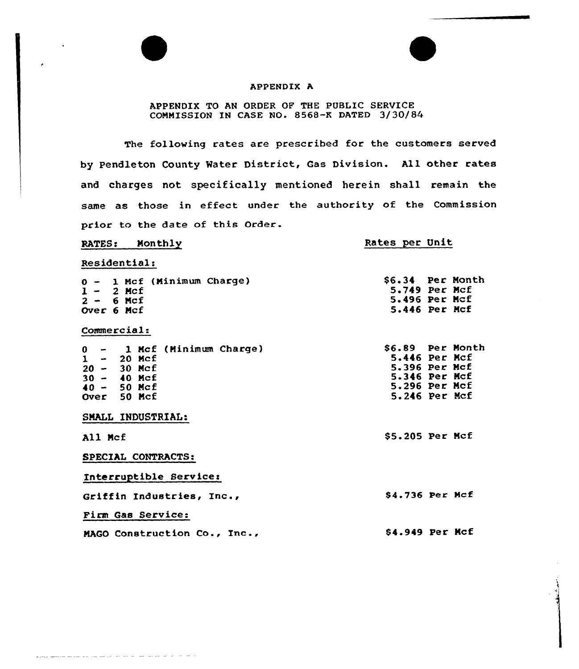### APPENDIX A

## APPENDIX TO AN ORDER OF THE PUBLIC SERVICE COMMISSION IN CASE NO» 8568-K DATED 3/30/84

The following rates are prescribed for the customers served by Pendleton County Water District, Gas Division. All other rates and charges not specifically mentioned herein shall remain the same as those in effect under the authority of the Commission prior to the date of this Order.

RATES: Monthly

# Rates per Unit

Residential:

والمتواجد والمتحام والمتحدث والمتابع والمتحدث والمتحدث والمتحدث والمتحدث

| 0 - 1 Mcf (Minimum Charge)<br>$1 - 2$ Mcf<br>$2 - 6$ Mcf<br>Over 6 Mcf                                                     | \$6.34 Per Month<br>$5.749$ Per Mcf<br>5.496 Per Mcf<br>5.446 Per Mcf                                       |
|----------------------------------------------------------------------------------------------------------------------------|-------------------------------------------------------------------------------------------------------------|
| Commercial:                                                                                                                |                                                                                                             |
| $0 - 1$ Mcf (Minimum Charge)<br>$\mathbf{1}$<br>- 20 Mcf<br>$20 - 30$ Mcf<br>$30 - 40$ Mcf<br>$40 - 50$ Mcf<br>Over 50 Mcf | \$6.89 Per Month<br>$5.446$ Per Mcf<br>5.396 Per Mcf<br>5.346 Per Mcf<br>$5.296$ Per Mcf<br>$5.246$ Per Mcf |
| SMALL INDUSTRIAL:                                                                                                          |                                                                                                             |
| All Mcf                                                                                                                    | $$5.205$ Per Mcf                                                                                            |
| SPECIAL CONTRACTS:                                                                                                         |                                                                                                             |
| Interruptible Service:                                                                                                     |                                                                                                             |
| Griffin Industries, Inc.,                                                                                                  | \$4.736 Per Mcf                                                                                             |
| Firm Gas Service:                                                                                                          |                                                                                                             |
| MAGO Construction Co., Inc.,                                                                                               | <b>S4.949 Per Mcf</b>                                                                                       |